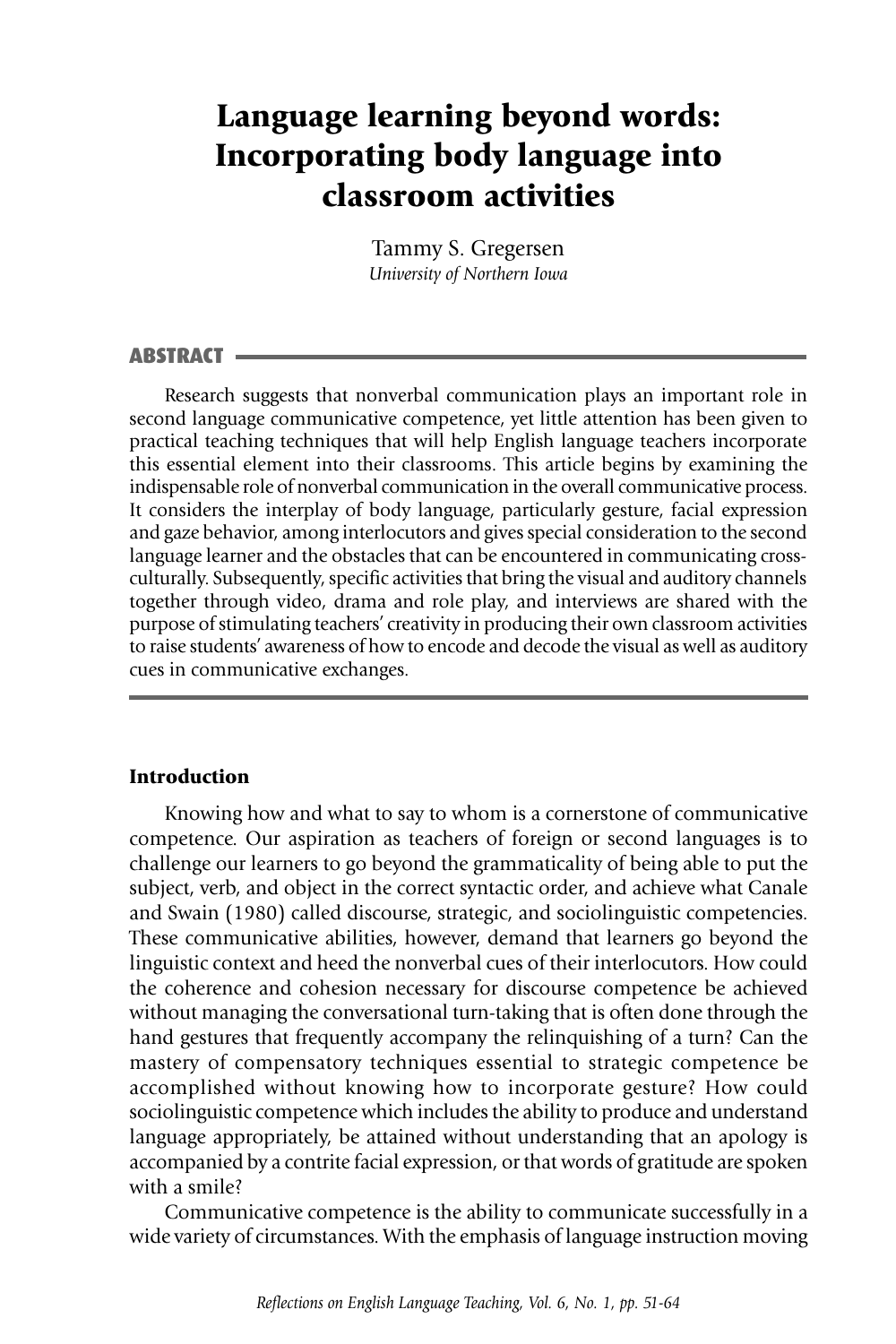# **Language learning beyond words: Incorporating body language into classroom activities**

Tammy S. Gregersen *University of Northern Iowa*

### **ABSTRACT**

Research suggests that nonverbal communication plays an important role in second language communicative competence, yet little attention has been given to practical teaching techniques that will help English language teachers incorporate this essential element into their classrooms. This article begins by examining the indispensable role of nonverbal communication in the overall communicative process. It considers the interplay of body language, particularly gesture, facial expression and gaze behavior, among interlocutors and gives special consideration to the second language learner and the obstacles that can be encountered in communicating crossculturally. Subsequently, specific activities that bring the visual and auditory channels together through video, drama and role play, and interviews are shared with the purpose of stimulating teachers' creativity in producing their own classroom activities to raise students' awareness of how to encode and decode the visual as well as auditory cues in communicative exchanges.

# **Introduction**

Knowing how and what to say to whom is a cornerstone of communicative competence. Our aspiration as teachers of foreign or second languages is to challenge our learners to go beyond the grammaticality of being able to put the subject, verb, and object in the correct syntactic order, and achieve what Canale and Swain (1980) called discourse, strategic, and sociolinguistic competencies. These communicative abilities, however, demand that learners go beyond the linguistic context and heed the nonverbal cues of their interlocutors. How could the coherence and cohesion necessary for discourse competence be achieved without managing the conversational turn-taking that is often done through the hand gestures that frequently accompany the relinquishing of a turn? Can the mastery of compensatory techniques essential to strategic competence be accomplished without knowing how to incorporate gesture? How could sociolinguistic competence which includes the ability to produce and understand language appropriately, be attained without understanding that an apology is accompanied by a contrite facial expression, or that words of gratitude are spoken with a smile?

Communicative competence is the ability to communicate successfully in a wide variety of circumstances. With the emphasis of language instruction moving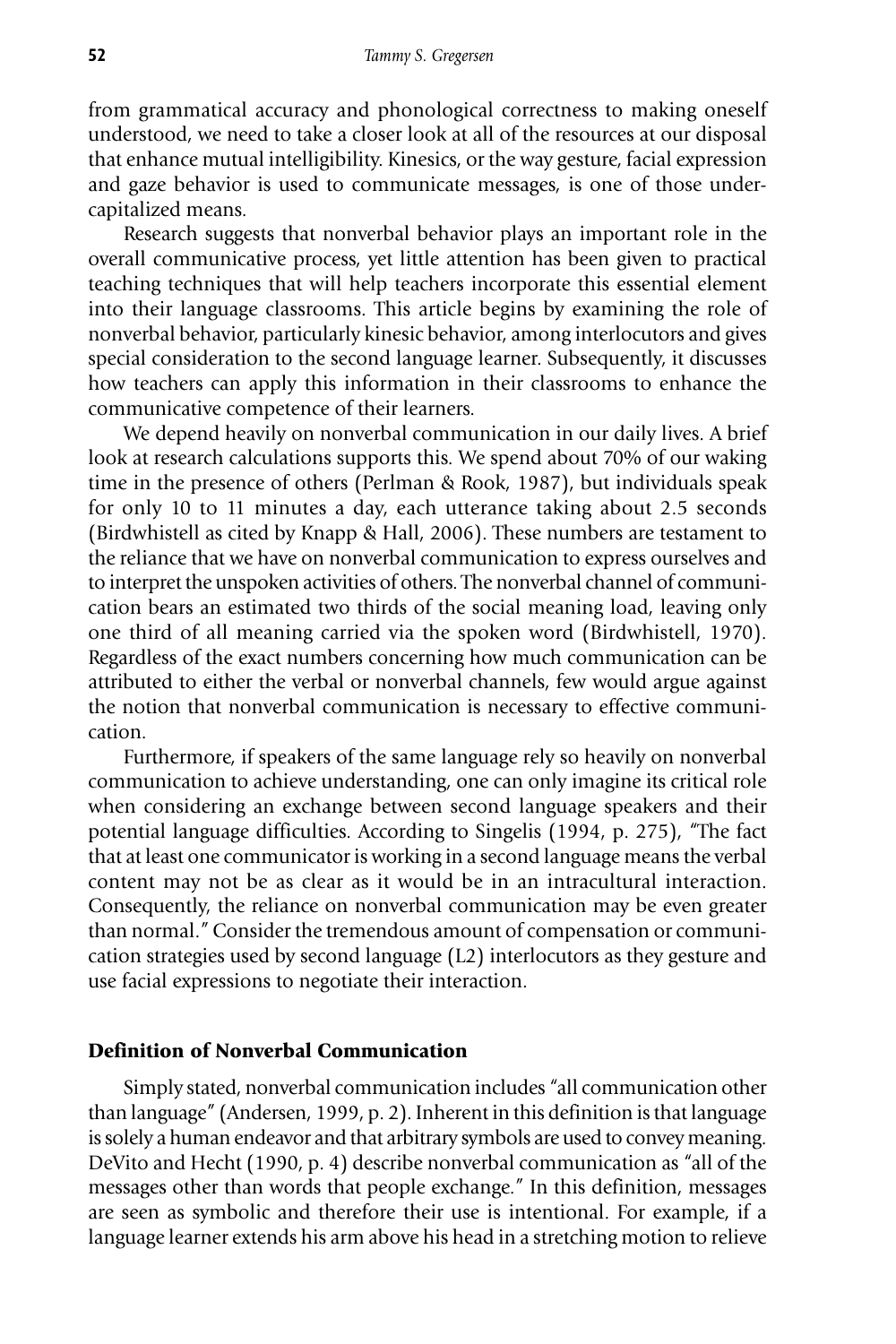from grammatical accuracy and phonological correctness to making oneself understood, we need to take a closer look at all of the resources at our disposal that enhance mutual intelligibility. Kinesics, or the way gesture, facial expression and gaze behavior is used to communicate messages, is one of those undercapitalized means.

Research suggests that nonverbal behavior plays an important role in the overall communicative process, yet little attention has been given to practical teaching techniques that will help teachers incorporate this essential element into their language classrooms. This article begins by examining the role of nonverbal behavior, particularly kinesic behavior, among interlocutors and gives special consideration to the second language learner. Subsequently, it discusses how teachers can apply this information in their classrooms to enhance the communicative competence of their learners.

We depend heavily on nonverbal communication in our daily lives. A brief look at research calculations supports this. We spend about 70% of our waking time in the presence of others (Perlman & Rook, 1987), but individuals speak for only 10 to 11 minutes a day, each utterance taking about 2.5 seconds (Birdwhistell as cited by Knapp & Hall, 2006). These numbers are testament to the reliance that we have on nonverbal communication to express ourselves and to interpret the unspoken activities of others. The nonverbal channel of communication bears an estimated two thirds of the social meaning load, leaving only one third of all meaning carried via the spoken word (Birdwhistell, 1970). Regardless of the exact numbers concerning how much communication can be attributed to either the verbal or nonverbal channels, few would argue against the notion that nonverbal communication is necessary to effective communication.

Furthermore, if speakers of the same language rely so heavily on nonverbal communication to achieve understanding, one can only imagine its critical role when considering an exchange between second language speakers and their potential language difficulties. According to Singelis (1994, p. 275), "The fact that at least one communicator is working in a second language means the verbal content may not be as clear as it would be in an intracultural interaction. Consequently, the reliance on nonverbal communication may be even greater than normal." Consider the tremendous amount of compensation or communication strategies used by second language (L2) interlocutors as they gesture and use facial expressions to negotiate their interaction.

# **Definition of Nonverbal Communication**

Simply stated, nonverbal communication includes "all communication other than language" (Andersen, 1999, p. 2). Inherent in this definition is that language is solely a human endeavor and that arbitrary symbols are used to convey meaning. DeVito and Hecht (1990, p. 4) describe nonverbal communication as "all of the messages other than words that people exchange." In this definition, messages are seen as symbolic and therefore their use is intentional. For example, if a language learner extends his arm above his head in a stretching motion to relieve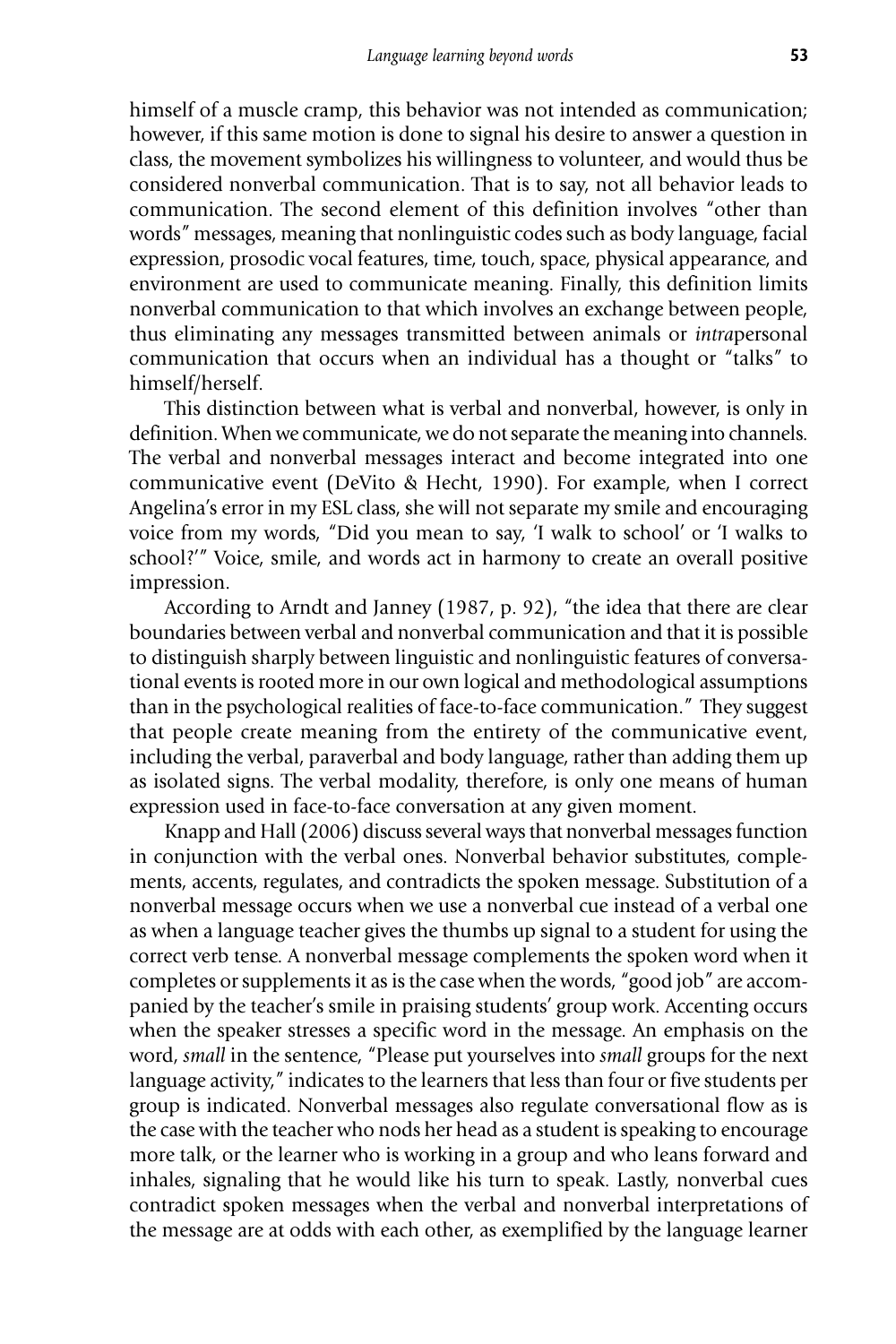himself of a muscle cramp, this behavior was not intended as communication; however, if this same motion is done to signal his desire to answer a question in class, the movement symbolizes his willingness to volunteer, and would thus be considered nonverbal communication. That is to say, not all behavior leads to communication. The second element of this definition involves "other than words" messages, meaning that nonlinguistic codes such as body language, facial expression, prosodic vocal features, time, touch, space, physical appearance, and environment are used to communicate meaning. Finally, this definition limits nonverbal communication to that which involves an exchange between people, thus eliminating any messages transmitted between animals or *intra*personal communication that occurs when an individual has a thought or "talks" to himself/herself.

This distinction between what is verbal and nonverbal, however, is only in definition. When we communicate, we do not separate the meaning into channels. The verbal and nonverbal messages interact and become integrated into one communicative event (DeVito & Hecht, 1990). For example, when I correct Angelina's error in my ESL class, she will not separate my smile and encouraging voice from my words, "Did you mean to say, 'I walk to school' or 'I walks to school?'" Voice, smile, and words act in harmony to create an overall positive impression.

According to Arndt and Janney (1987, p. 92), "the idea that there are clear boundaries between verbal and nonverbal communication and that it is possible to distinguish sharply between linguistic and nonlinguistic features of conversational events is rooted more in our own logical and methodological assumptions than in the psychological realities of face-to-face communication." They suggest that people create meaning from the entirety of the communicative event, including the verbal, paraverbal and body language, rather than adding them up as isolated signs. The verbal modality, therefore, is only one means of human expression used in face-to-face conversation at any given moment.

Knapp and Hall (2006) discuss several ways that nonverbal messages function in conjunction with the verbal ones. Nonverbal behavior substitutes, complements, accents, regulates, and contradicts the spoken message. Substitution of a nonverbal message occurs when we use a nonverbal cue instead of a verbal one as when a language teacher gives the thumbs up signal to a student for using the correct verb tense. A nonverbal message complements the spoken word when it completes or supplements it as is the case when the words, "good job" are accompanied by the teacher's smile in praising students' group work. Accenting occurs when the speaker stresses a specific word in the message. An emphasis on the word, *small* in the sentence, "Please put yourselves into *small* groups for the next language activity," indicates to the learners that less than four or five students per group is indicated. Nonverbal messages also regulate conversational flow as is the case with the teacher who nods her head as a student is speaking to encourage more talk, or the learner who is working in a group and who leans forward and inhales, signaling that he would like his turn to speak. Lastly, nonverbal cues contradict spoken messages when the verbal and nonverbal interpretations of the message are at odds with each other, as exemplified by the language learner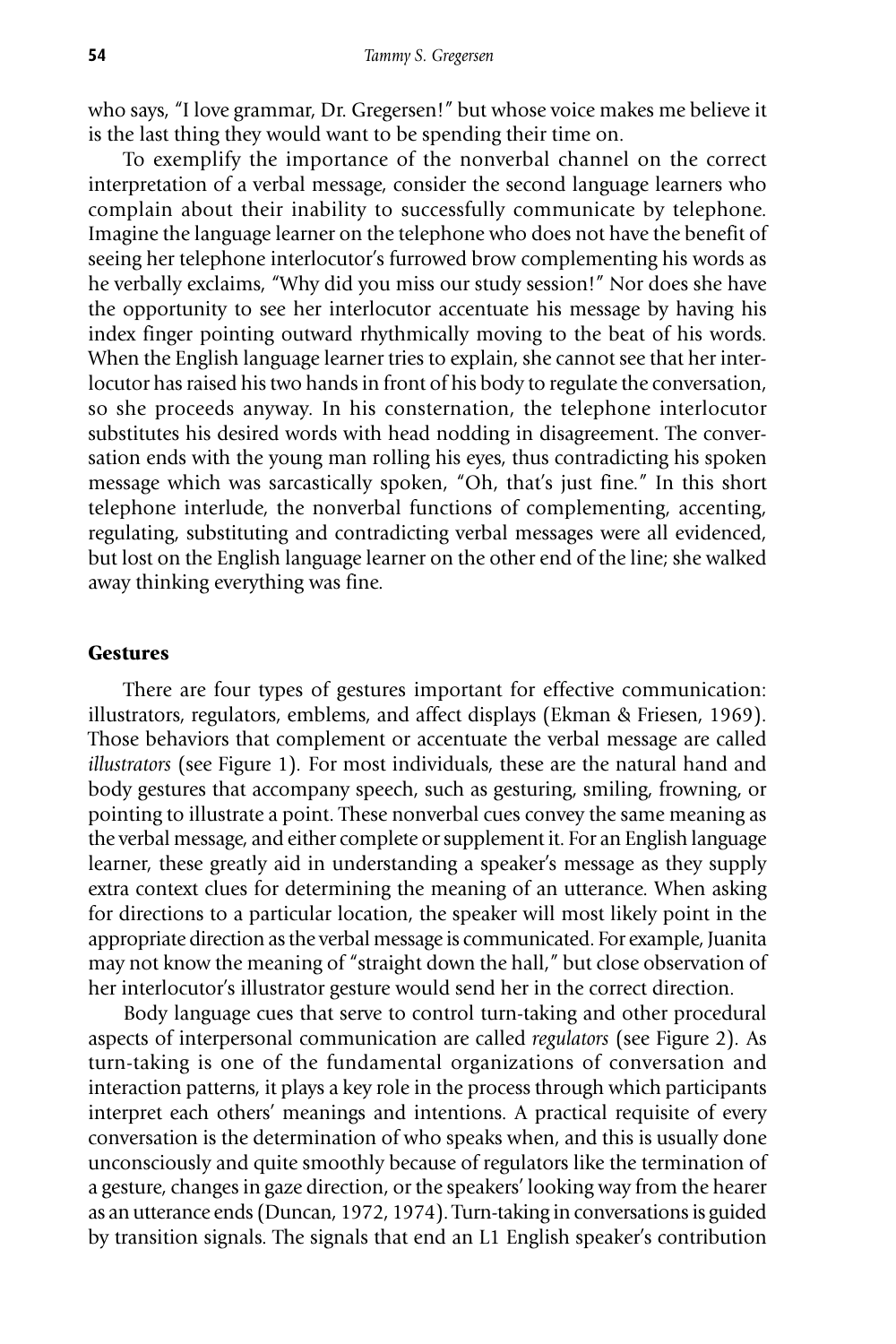who says, "I love grammar, Dr. Gregersen!" but whose voice makes me believe it is the last thing they would want to be spending their time on.

To exemplify the importance of the nonverbal channel on the correct interpretation of a verbal message, consider the second language learners who complain about their inability to successfully communicate by telephone. Imagine the language learner on the telephone who does not have the benefit of seeing her telephone interlocutor's furrowed brow complementing his words as he verbally exclaims, "Why did you miss our study session!" Nor does she have the opportunity to see her interlocutor accentuate his message by having his index finger pointing outward rhythmically moving to the beat of his words. When the English language learner tries to explain, she cannot see that her interlocutor has raised his two hands in front of his body to regulate the conversation, so she proceeds anyway. In his consternation, the telephone interlocutor substitutes his desired words with head nodding in disagreement. The conversation ends with the young man rolling his eyes, thus contradicting his spoken message which was sarcastically spoken, "Oh, that's just fine." In this short telephone interlude, the nonverbal functions of complementing, accenting, regulating, substituting and contradicting verbal messages were all evidenced, but lost on the English language learner on the other end of the line; she walked away thinking everything was fine.

### **Gestures**

There are four types of gestures important for effective communication: illustrators, regulators, emblems, and affect displays (Ekman & Friesen, 1969). Those behaviors that complement or accentuate the verbal message are called *illustrators* (see Figure 1)*.* For most individuals, these are the natural hand and body gestures that accompany speech, such as gesturing, smiling, frowning, or pointing to illustrate a point. These nonverbal cues convey the same meaning as the verbal message, and either complete or supplement it. For an English language learner, these greatly aid in understanding a speaker's message as they supply extra context clues for determining the meaning of an utterance. When asking for directions to a particular location, the speaker will most likely point in the appropriate direction as the verbal message is communicated. For example, Juanita may not know the meaning of "straight down the hall," but close observation of her interlocutor's illustrator gesture would send her in the correct direction.

Body language cues that serve to control turn-taking and other procedural aspects of interpersonal communication are called *regulators* (see Figure 2)*.* As turn-taking is one of the fundamental organizations of conversation and interaction patterns, it plays a key role in the process through which participants interpret each others' meanings and intentions. A practical requisite of every conversation is the determination of who speaks when, and this is usually done unconsciously and quite smoothly because of regulators like the termination of a gesture, changes in gaze direction, or the speakers' looking way from the hearer as an utterance ends (Duncan, 1972, 1974). Turn-taking in conversations is guided by transition signals. The signals that end an L1 English speaker's contribution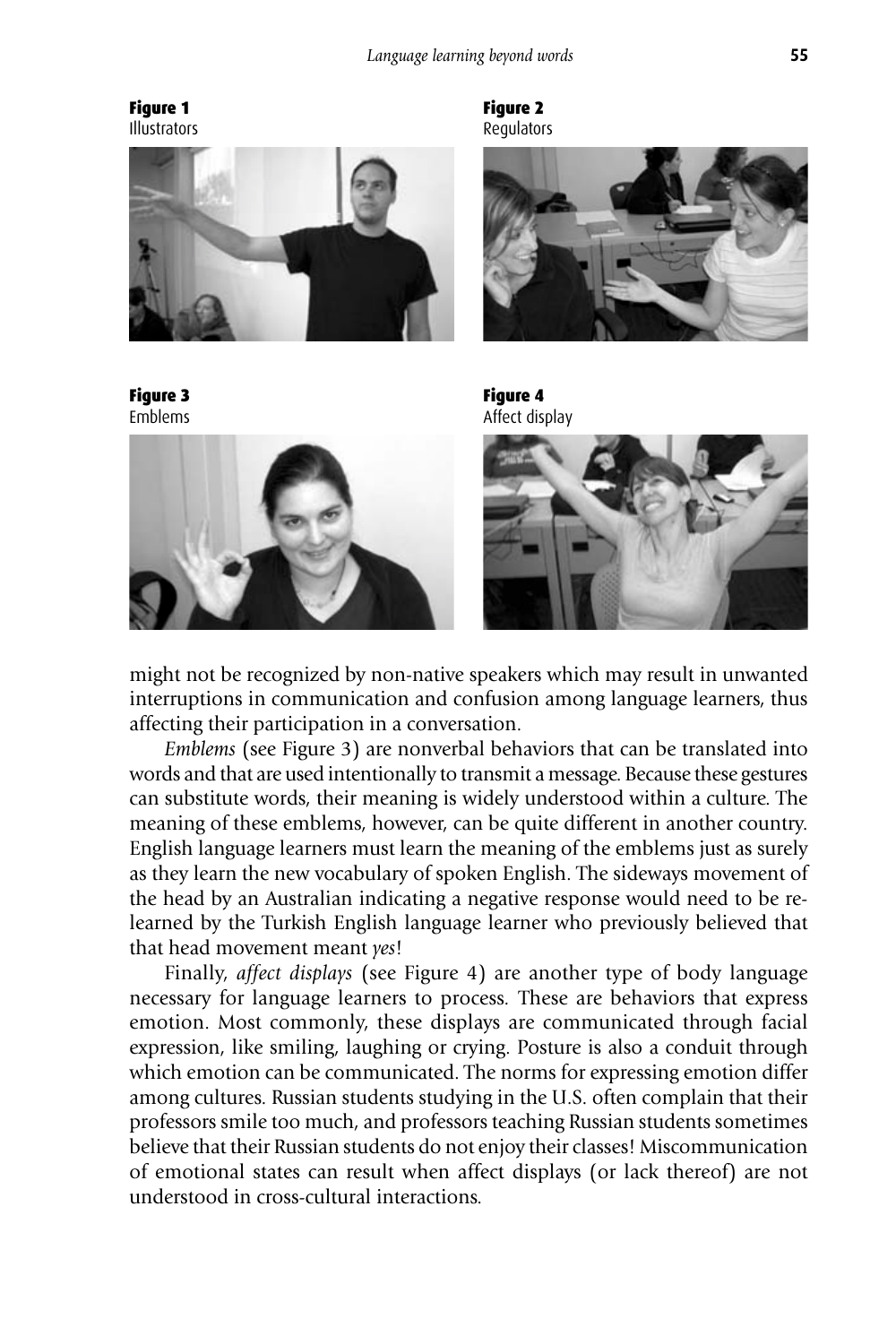



Figure 3 Emblems



Figure 2 Regulators







might not be recognized by non-native speakers which may result in unwanted interruptions in communication and confusion among language learners, thus affecting their participation in a conversation.

*Emblems* (see Figure 3) are nonverbal behaviors that can be translated into words and that are used intentionally to transmit a message. Because these gestures can substitute words, their meaning is widely understood within a culture. The meaning of these emblems, however, can be quite different in another country. English language learners must learn the meaning of the emblems just as surely as they learn the new vocabulary of spoken English. The sideways movement of the head by an Australian indicating a negative response would need to be relearned by the Turkish English language learner who previously believed that that head movement meant *yes*!

Finally, *affect displays* (see Figure 4) are another type of body language necessary for language learners to process*.* These are behaviors that express emotion. Most commonly, these displays are communicated through facial expression, like smiling, laughing or crying. Posture is also a conduit through which emotion can be communicated. The norms for expressing emotion differ among cultures. Russian students studying in the U.S. often complain that their professors smile too much, and professors teaching Russian students sometimes believe that their Russian students do not enjoy their classes! Miscommunication of emotional states can result when affect displays (or lack thereof) are not understood in cross-cultural interactions.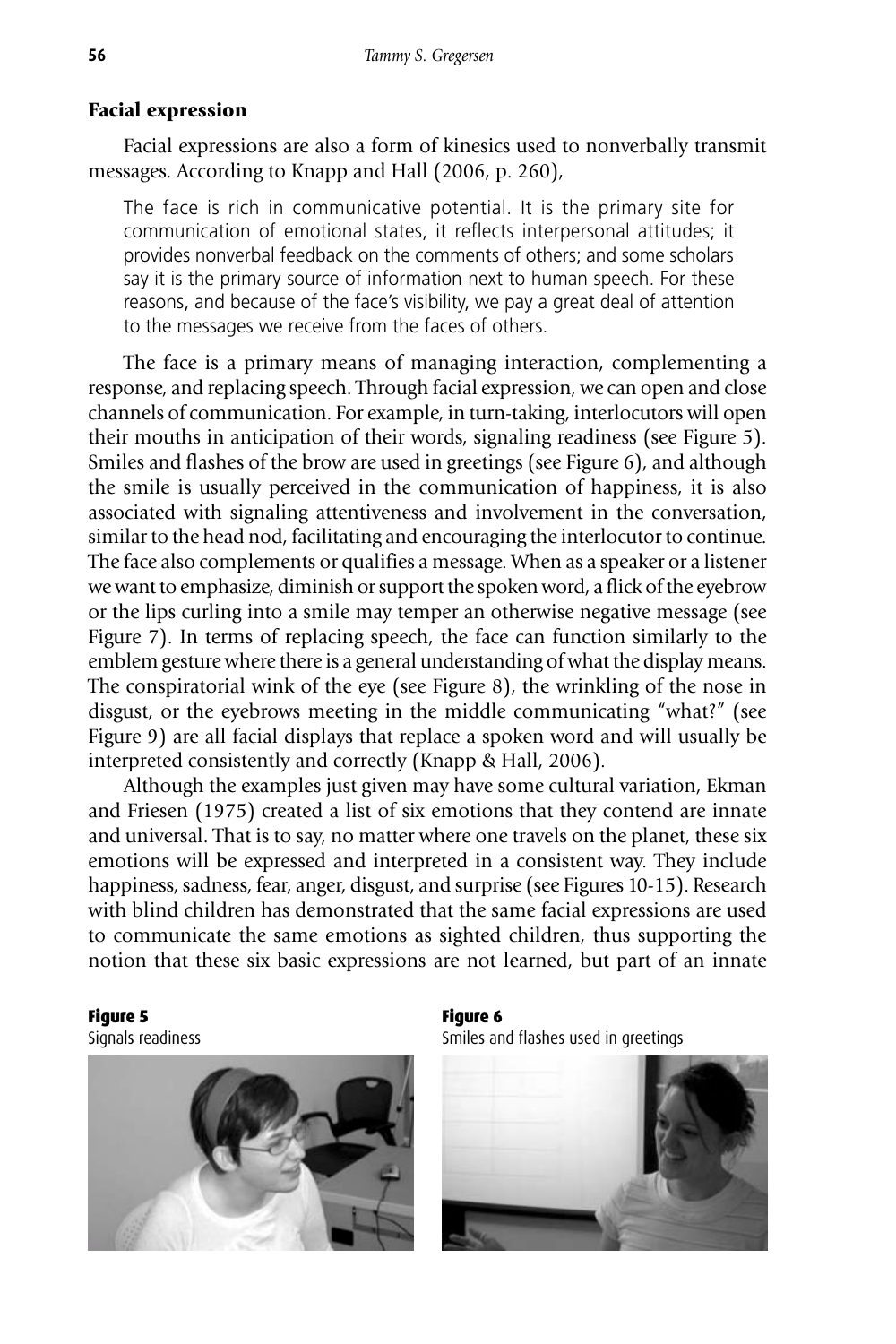# **Facial expression**

Facial expressions are also a form of kinesics used to nonverbally transmit messages. According to Knapp and Hall (2006, p. 260),

The face is rich in communicative potential. It is the primary site for communication of emotional states, it reflects interpersonal attitudes; it provides nonverbal feedback on the comments of others; and some scholars say it is the primary source of information next to human speech. For these reasons, and because of the face's visibility, we pay a great deal of attention to the messages we receive from the faces of others.

The face is a primary means of managing interaction, complementing a response, and replacing speech. Through facial expression, we can open and close channels of communication. For example, in turn-taking, interlocutors will open their mouths in anticipation of their words, signaling readiness (see Figure 5). Smiles and flashes of the brow are used in greetings (see Figure 6), and although the smile is usually perceived in the communication of happiness, it is also associated with signaling attentiveness and involvement in the conversation, similar to the head nod, facilitating and encouraging the interlocutor to continue. The face also complements or qualifies a message. When as a speaker or a listener we want to emphasize, diminish or support the spoken word, a flick of the eyebrow or the lips curling into a smile may temper an otherwise negative message (see Figure 7). In terms of replacing speech, the face can function similarly to the emblem gesture where there is a general understanding of what the display means. The conspiratorial wink of the eye (see Figure 8), the wrinkling of the nose in disgust, or the eyebrows meeting in the middle communicating "what?" (see Figure 9) are all facial displays that replace a spoken word and will usually be interpreted consistently and correctly (Knapp & Hall, 2006).

Although the examples just given may have some cultural variation, Ekman and Friesen (1975) created a list of six emotions that they contend are innate and universal. That is to say, no matter where one travels on the planet, these six emotions will be expressed and interpreted in a consistent way. They include happiness, sadness, fear, anger, disgust, and surprise (see Figures 10-15). Research with blind children has demonstrated that the same facial expressions are used to communicate the same emotions as sighted children, thus supporting the notion that these six basic expressions are not learned, but part of an innate

Figure 5

Signals readiness



Figure 6 Smiles and flashes used in greetings

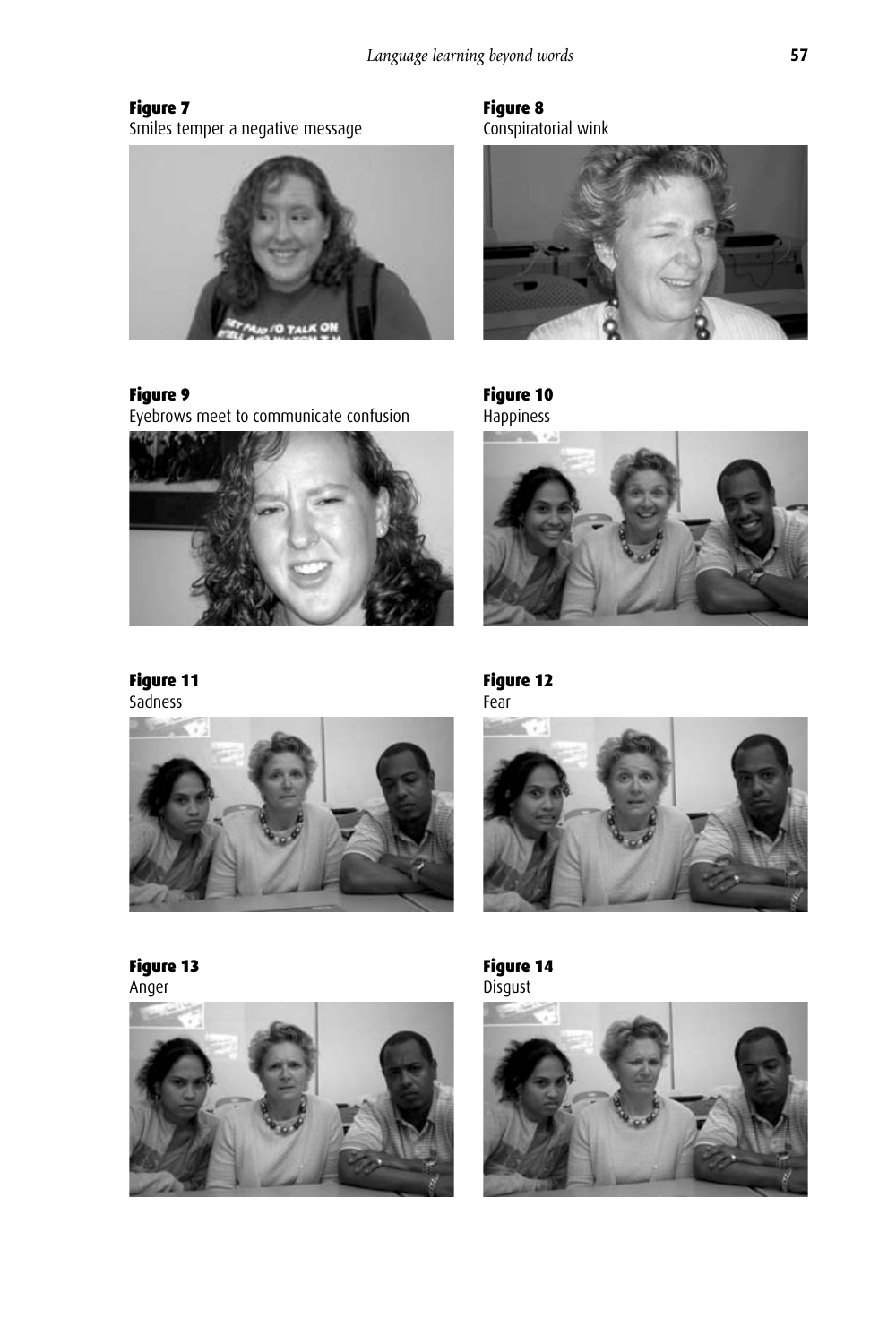Figure 7 Smiles temper a negative message



Figure 9

Eyebrows meet to communicate confusion



Figure 11 Sadness

Figure 13





Anger

Figure 8 Conspiratorial wink



Figure 10 Happiness







Figure 14 Disgust

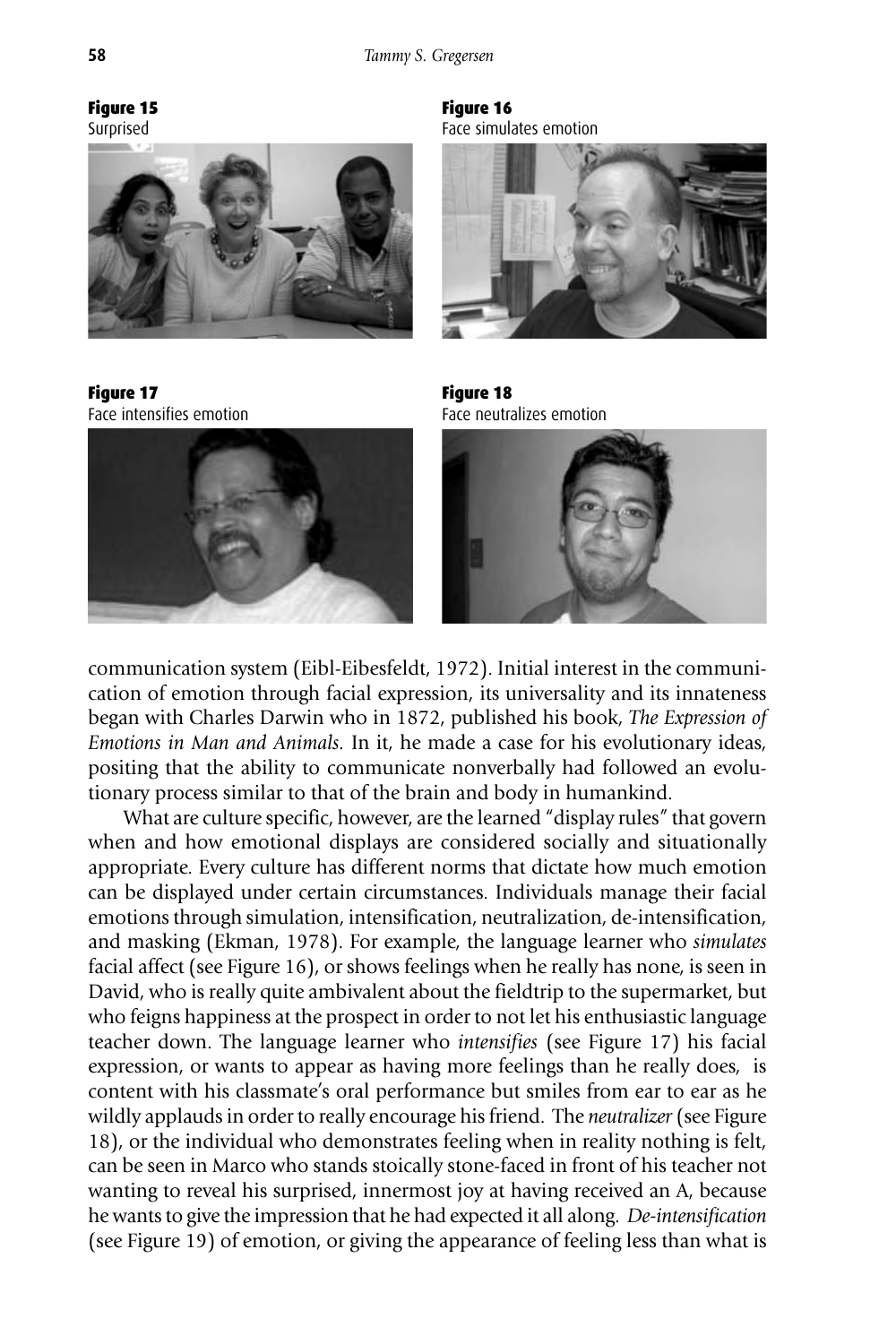# Figure 15

Surprised



Figure 17 Face intensifies emotion



Figure 16 Face simulates emotion



Figure 18 Face neutralizes emotion



communication system (Eibl-Eibesfeldt, 1972). Initial interest in the communication of emotion through facial expression, its universality and its innateness began with Charles Darwin who in 1872, published his book, *The Expression of Emotions in Man and Animals.* In it, he made a case for his evolutionary ideas, positing that the ability to communicate nonverbally had followed an evolutionary process similar to that of the brain and body in humankind.

What are culture specific, however, are the learned "display rules" that govern when and how emotional displays are considered socially and situationally appropriate. Every culture has different norms that dictate how much emotion can be displayed under certain circumstances. Individuals manage their facial emotions through simulation, intensification, neutralization, de-intensification, and masking (Ekman, 1978). For example, the language learner who *simulates* facial affect (see Figure 16), or shows feelings when he really has none, is seen in David, who is really quite ambivalent about the fieldtrip to the supermarket, but who feigns happiness at the prospect in order to not let his enthusiastic language teacher down. The language learner who *intensifies* (see Figure 17) his facial expression, or wants to appear as having more feelings than he really does, is content with his classmate's oral performance but smiles from ear to ear as he wildly applauds in order to really encourage his friend. The *neutralizer* (see Figure 18), or the individual who demonstrates feeling when in reality nothing is felt, can be seen in Marco who stands stoically stone-faced in front of his teacher not wanting to reveal his surprised, innermost joy at having received an A, because he wants to give the impression that he had expected it all along. *De-intensification* (see Figure 19) of emotion, or giving the appearance of feeling less than what is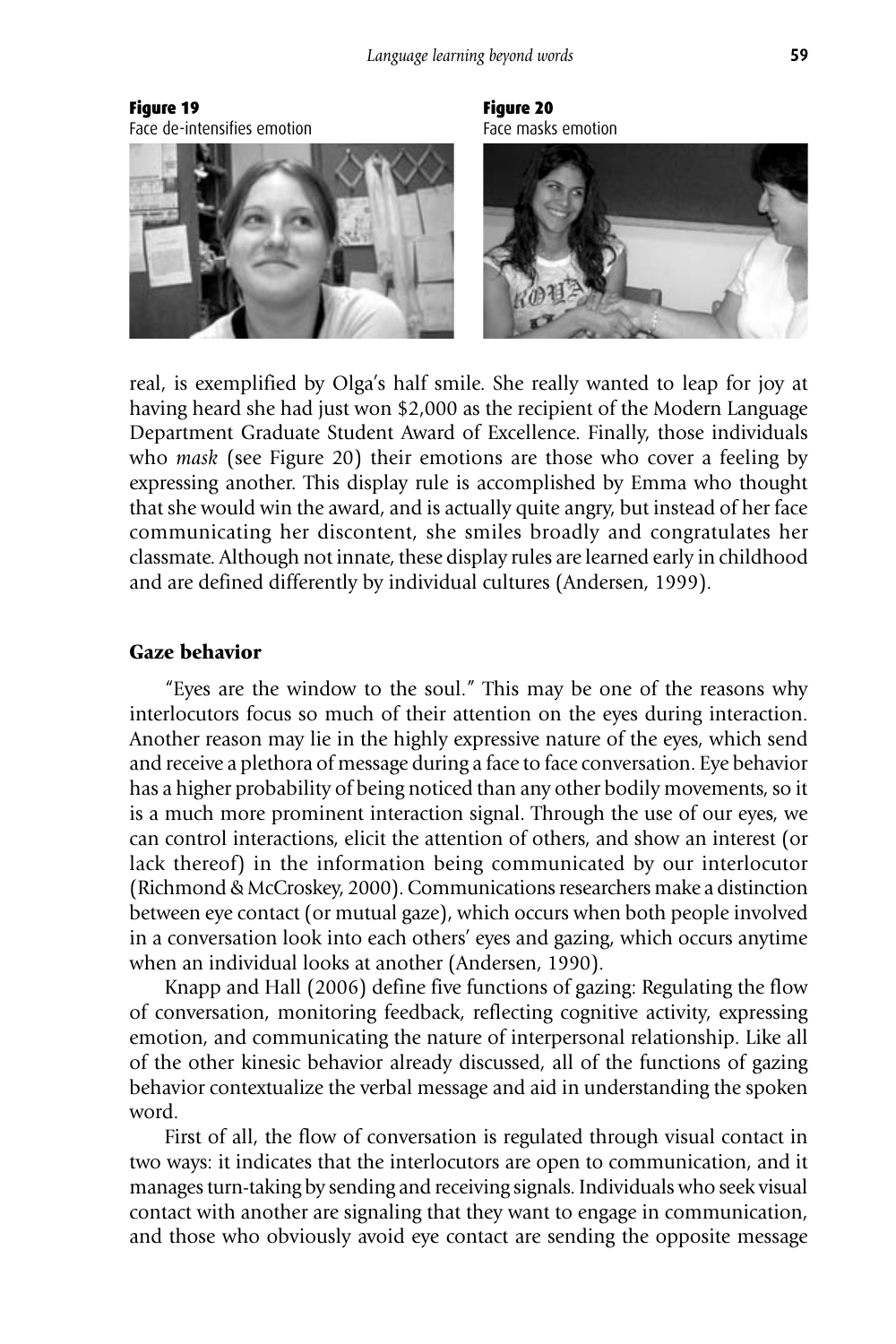Figure 19 Face de-intensifies emotion



Figure 20 Face masks emotion



real, is exemplified by Olga's half smile. She really wanted to leap for joy at having heard she had just won \$2,000 as the recipient of the Modern Language Department Graduate Student Award of Excellence. Finally, those individuals who *mask* (see Figure 20) their emotions are those who cover a feeling by expressing another. This display rule is accomplished by Emma who thought that she would win the award, and is actually quite angry, but instead of her face communicating her discontent, she smiles broadly and congratulates her classmate. Although not innate, these display rules are learned early in childhood and are defined differently by individual cultures (Andersen, 1999).

# **Gaze behavior**

"Eyes are the window to the soul." This may be one of the reasons why interlocutors focus so much of their attention on the eyes during interaction. Another reason may lie in the highly expressive nature of the eyes, which send and receive a plethora of message during a face to face conversation. Eye behavior has a higher probability of being noticed than any other bodily movements, so it is a much more prominent interaction signal. Through the use of our eyes, we can control interactions, elicit the attention of others, and show an interest (or lack thereof) in the information being communicated by our interlocutor (Richmond & McCroskey, 2000). Communications researchers make a distinction between eye contact (or mutual gaze), which occurs when both people involved in a conversation look into each others' eyes and gazing, which occurs anytime when an individual looks at another (Andersen, 1990).

Knapp and Hall (2006) define five functions of gazing: Regulating the flow of conversation, monitoring feedback, reflecting cognitive activity, expressing emotion, and communicating the nature of interpersonal relationship. Like all of the other kinesic behavior already discussed, all of the functions of gazing behavior contextualize the verbal message and aid in understanding the spoken word.

First of all, the flow of conversation is regulated through visual contact in two ways: it indicates that the interlocutors are open to communication, and it manages turn-taking by sending and receiving signals. Individuals who seek visual contact with another are signaling that they want to engage in communication, and those who obviously avoid eye contact are sending the opposite message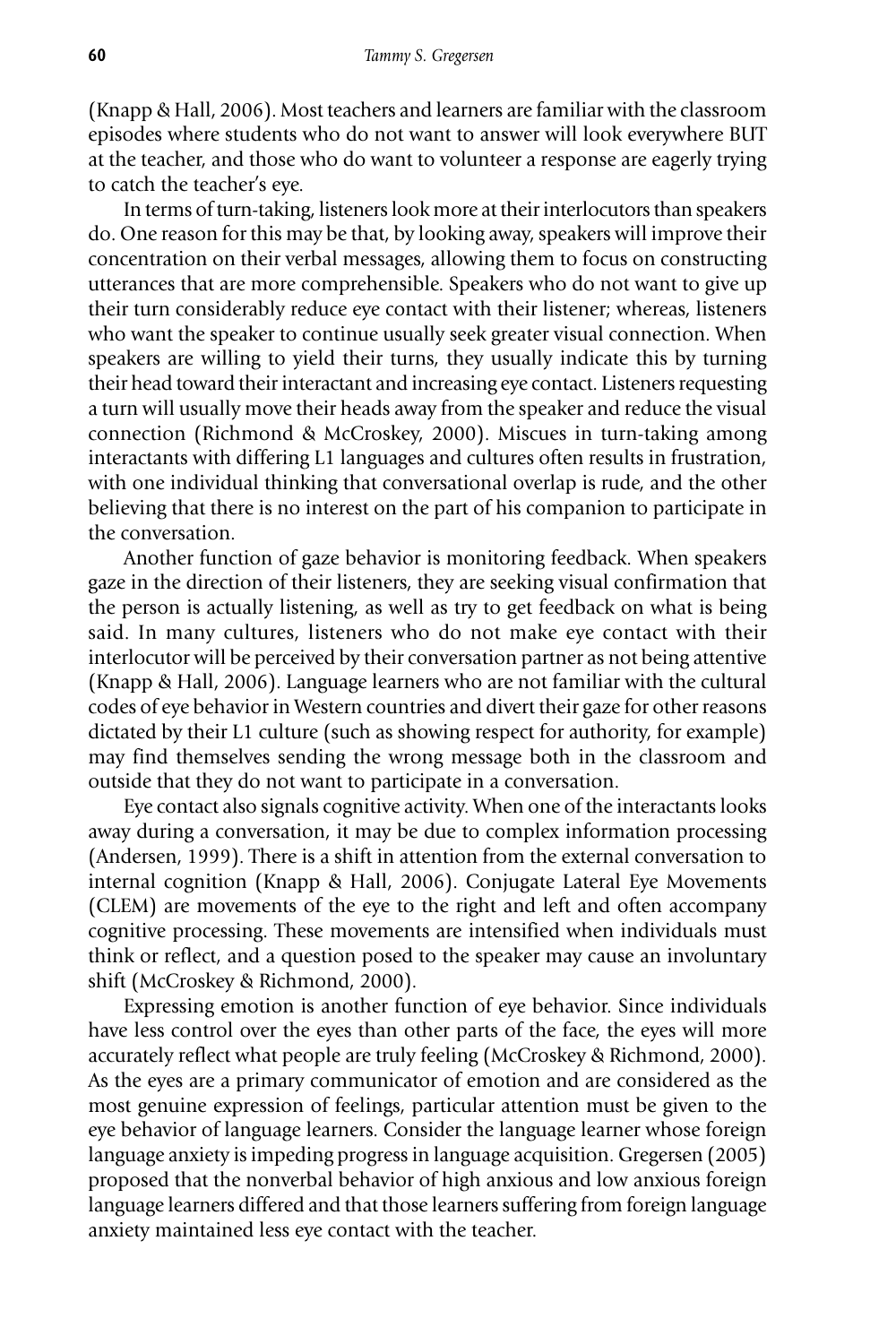(Knapp & Hall, 2006). Most teachers and learners are familiar with the classroom episodes where students who do not want to answer will look everywhere BUT at the teacher, and those who do want to volunteer a response are eagerly trying to catch the teacher's eye.

In terms of turn-taking, listeners look more at their interlocutors than speakers do. One reason for this may be that, by looking away, speakers will improve their concentration on their verbal messages, allowing them to focus on constructing utterances that are more comprehensible. Speakers who do not want to give up their turn considerably reduce eye contact with their listener; whereas, listeners who want the speaker to continue usually seek greater visual connection. When speakers are willing to yield their turns, they usually indicate this by turning their head toward their interactant and increasing eye contact. Listeners requesting a turn will usually move their heads away from the speaker and reduce the visual connection (Richmond & McCroskey, 2000). Miscues in turn-taking among interactants with differing L1 languages and cultures often results in frustration, with one individual thinking that conversational overlap is rude, and the other believing that there is no interest on the part of his companion to participate in the conversation.

Another function of gaze behavior is monitoring feedback. When speakers gaze in the direction of their listeners, they are seeking visual confirmation that the person is actually listening, as well as try to get feedback on what is being said. In many cultures, listeners who do not make eye contact with their interlocutor will be perceived by their conversation partner as not being attentive (Knapp & Hall, 2006). Language learners who are not familiar with the cultural codes of eye behavior in Western countries and divert their gaze for other reasons dictated by their L1 culture (such as showing respect for authority, for example) may find themselves sending the wrong message both in the classroom and outside that they do not want to participate in a conversation.

Eye contact also signals cognitive activity. When one of the interactants looks away during a conversation, it may be due to complex information processing (Andersen, 1999). There is a shift in attention from the external conversation to internal cognition (Knapp & Hall, 2006). Conjugate Lateral Eye Movements (CLEM) are movements of the eye to the right and left and often accompany cognitive processing. These movements are intensified when individuals must think or reflect, and a question posed to the speaker may cause an involuntary shift (McCroskey & Richmond, 2000).

Expressing emotion is another function of eye behavior. Since individuals have less control over the eyes than other parts of the face, the eyes will more accurately reflect what people are truly feeling (McCroskey & Richmond, 2000). As the eyes are a primary communicator of emotion and are considered as the most genuine expression of feelings, particular attention must be given to the eye behavior of language learners. Consider the language learner whose foreign language anxiety is impeding progress in language acquisition. Gregersen (2005) proposed that the nonverbal behavior of high anxious and low anxious foreign language learners differed and that those learners suffering from foreign language anxiety maintained less eye contact with the teacher.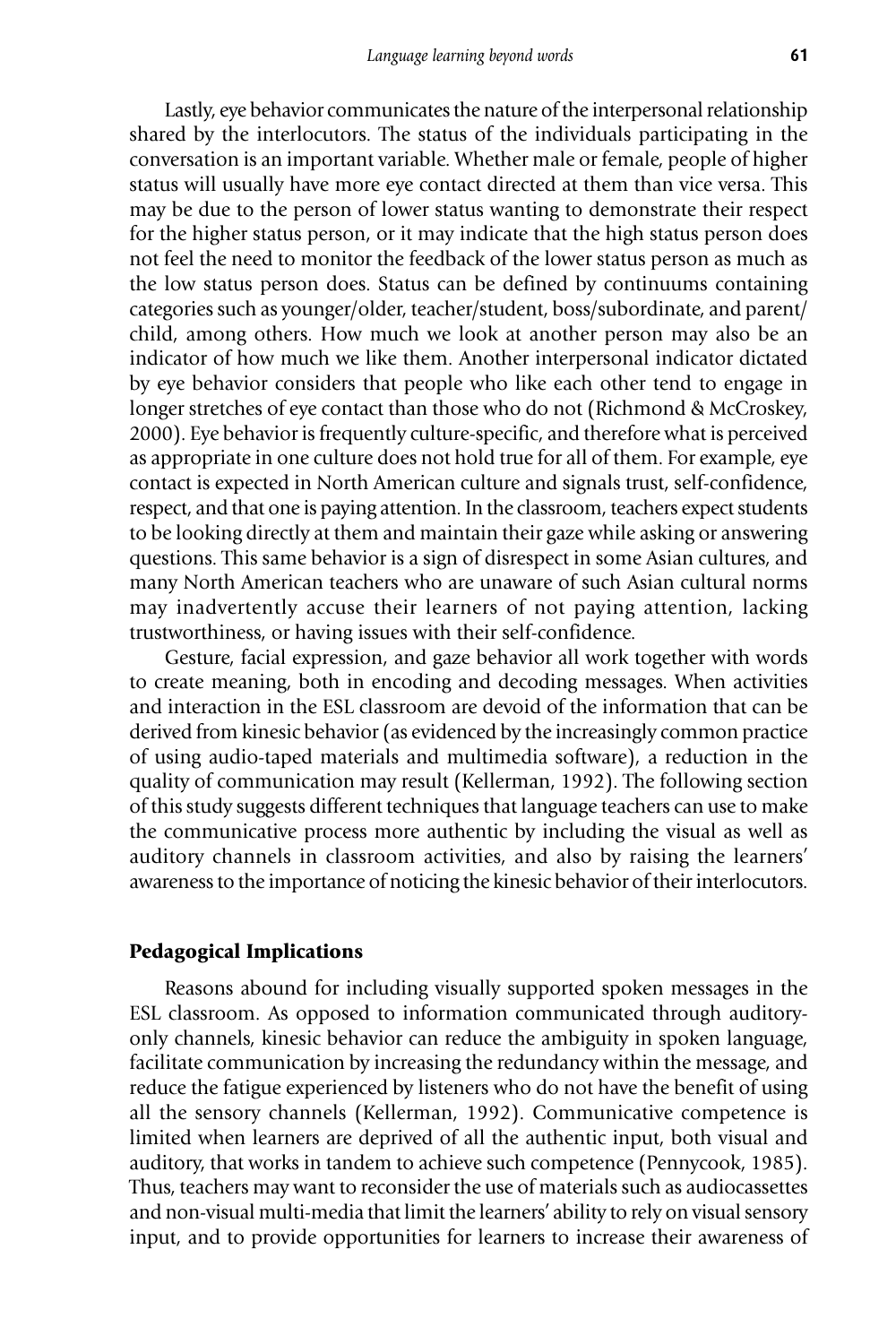Lastly, eye behavior communicates the nature of the interpersonal relationship shared by the interlocutors. The status of the individuals participating in the conversation is an important variable. Whether male or female, people of higher status will usually have more eye contact directed at them than vice versa. This may be due to the person of lower status wanting to demonstrate their respect for the higher status person, or it may indicate that the high status person does not feel the need to monitor the feedback of the lower status person as much as the low status person does. Status can be defined by continuums containing categories such as younger/older, teacher/student, boss/subordinate, and parent/ child, among others. How much we look at another person may also be an indicator of how much we like them. Another interpersonal indicator dictated by eye behavior considers that people who like each other tend to engage in longer stretches of eye contact than those who do not (Richmond & McCroskey, 2000). Eye behavior is frequently culture-specific, and therefore what is perceived as appropriate in one culture does not hold true for all of them. For example, eye contact is expected in North American culture and signals trust, self-confidence, respect, and that one is paying attention. In the classroom, teachers expect students to be looking directly at them and maintain their gaze while asking or answering questions. This same behavior is a sign of disrespect in some Asian cultures, and many North American teachers who are unaware of such Asian cultural norms may inadvertently accuse their learners of not paying attention, lacking trustworthiness, or having issues with their self-confidence.

Gesture, facial expression, and gaze behavior all work together with words to create meaning, both in encoding and decoding messages. When activities and interaction in the ESL classroom are devoid of the information that can be derived from kinesic behavior (as evidenced by the increasingly common practice of using audio-taped materials and multimedia software), a reduction in the quality of communication may result (Kellerman, 1992). The following section of this study suggests different techniques that language teachers can use to make the communicative process more authentic by including the visual as well as auditory channels in classroom activities, and also by raising the learners' awareness to the importance of noticing the kinesic behavior of their interlocutors.

# **Pedagogical Implications**

Reasons abound for including visually supported spoken messages in the ESL classroom. As opposed to information communicated through auditoryonly channels, kinesic behavior can reduce the ambiguity in spoken language, facilitate communication by increasing the redundancy within the message, and reduce the fatigue experienced by listeners who do not have the benefit of using all the sensory channels (Kellerman, 1992). Communicative competence is limited when learners are deprived of all the authentic input, both visual and auditory, that works in tandem to achieve such competence (Pennycook, 1985). Thus, teachers may want to reconsider the use of materials such as audiocassettes and non-visual multi-media that limit the learners' ability to rely on visual sensory input, and to provide opportunities for learners to increase their awareness of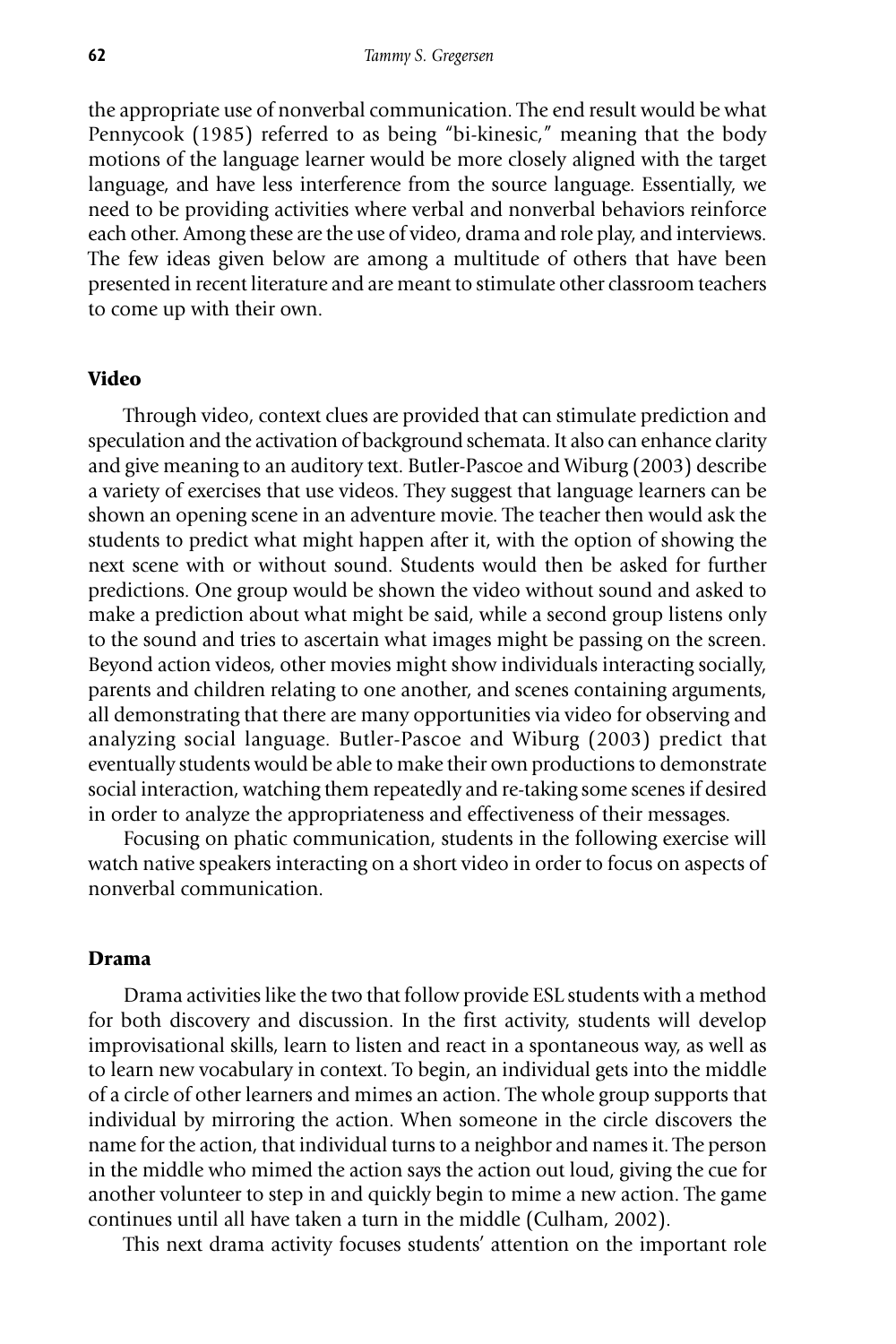the appropriate use of nonverbal communication. The end result would be what Pennycook (1985) referred to as being "bi-kinesic," meaning that the body motions of the language learner would be more closely aligned with the target language, and have less interference from the source language. Essentially, we need to be providing activities where verbal and nonverbal behaviors reinforce each other. Among these are the use of video, drama and role play, and interviews. The few ideas given below are among a multitude of others that have been presented in recent literature and are meant to stimulate other classroom teachers to come up with their own.

# **Video**

Through video, context clues are provided that can stimulate prediction and speculation and the activation of background schemata. It also can enhance clarity and give meaning to an auditory text. Butler-Pascoe and Wiburg (2003) describe a variety of exercises that use videos. They suggest that language learners can be shown an opening scene in an adventure movie. The teacher then would ask the students to predict what might happen after it, with the option of showing the next scene with or without sound. Students would then be asked for further predictions. One group would be shown the video without sound and asked to make a prediction about what might be said, while a second group listens only to the sound and tries to ascertain what images might be passing on the screen. Beyond action videos, other movies might show individuals interacting socially, parents and children relating to one another, and scenes containing arguments, all demonstrating that there are many opportunities via video for observing and analyzing social language. Butler-Pascoe and Wiburg (2003) predict that eventually students would be able to make their own productions to demonstrate social interaction, watching them repeatedly and re-taking some scenes if desired in order to analyze the appropriateness and effectiveness of their messages.

Focusing on phatic communication, students in the following exercise will watch native speakers interacting on a short video in order to focus on aspects of nonverbal communication.

#### **Drama**

Drama activities like the two that follow provide ESL students with a method for both discovery and discussion. In the first activity, students will develop improvisational skills, learn to listen and react in a spontaneous way, as well as to learn new vocabulary in context. To begin, an individual gets into the middle of a circle of other learners and mimes an action. The whole group supports that individual by mirroring the action. When someone in the circle discovers the name for the action, that individual turns to a neighbor and names it. The person in the middle who mimed the action says the action out loud, giving the cue for another volunteer to step in and quickly begin to mime a new action. The game continues until all have taken a turn in the middle (Culham, 2002).

This next drama activity focuses students' attention on the important role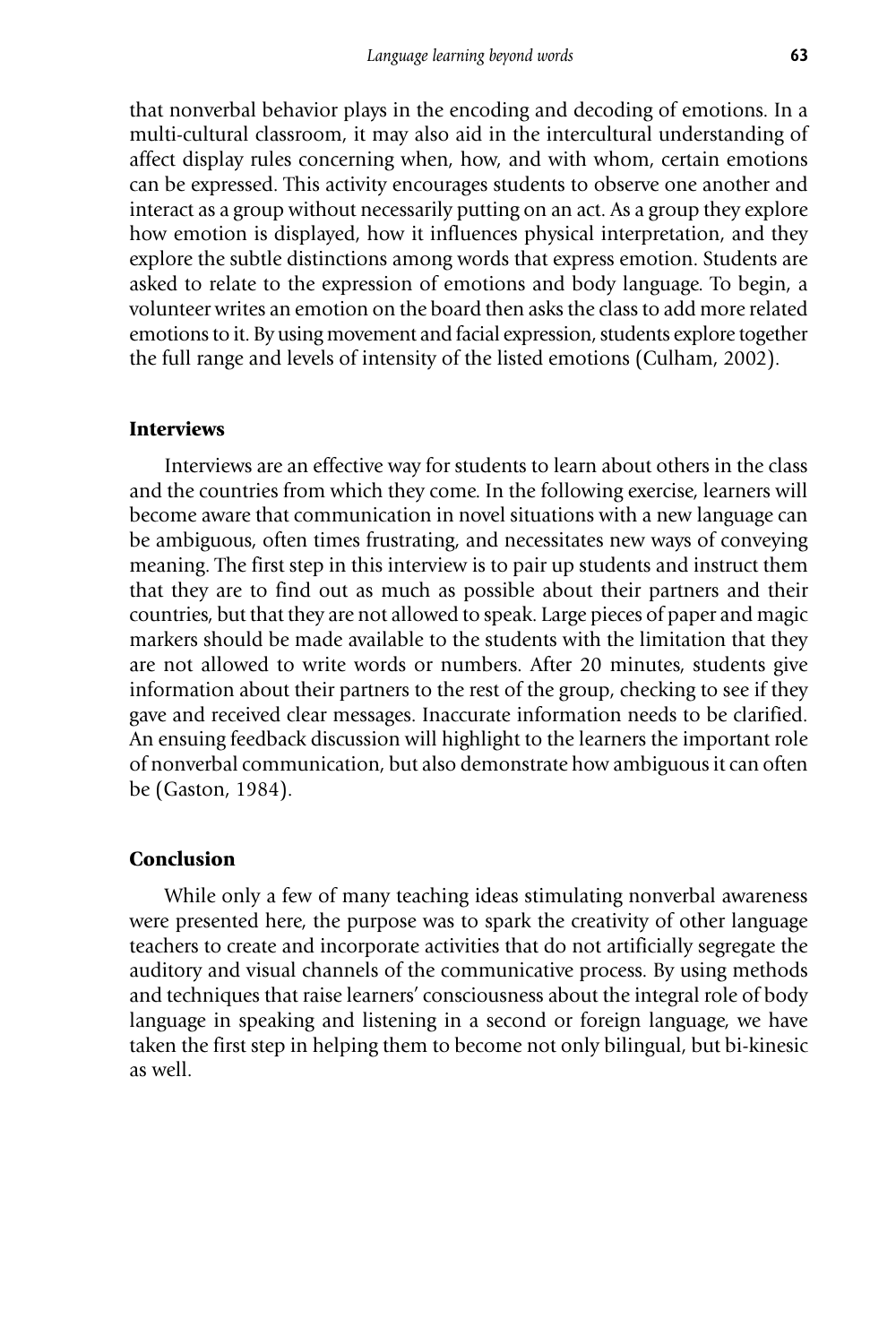that nonverbal behavior plays in the encoding and decoding of emotions. In a multi-cultural classroom, it may also aid in the intercultural understanding of affect display rules concerning when, how, and with whom, certain emotions can be expressed. This activity encourages students to observe one another and interact as a group without necessarily putting on an act. As a group they explore how emotion is displayed, how it influences physical interpretation, and they explore the subtle distinctions among words that express emotion. Students are asked to relate to the expression of emotions and body language. To begin, a volunteer writes an emotion on the board then asks the class to add more related emotions to it. By using movement and facial expression, students explore together the full range and levels of intensity of the listed emotions (Culham, 2002).

# **Interviews**

Interviews are an effective way for students to learn about others in the class and the countries from which they come. In the following exercise, learners will become aware that communication in novel situations with a new language can be ambiguous, often times frustrating, and necessitates new ways of conveying meaning. The first step in this interview is to pair up students and instruct them that they are to find out as much as possible about their partners and their countries, but that they are not allowed to speak. Large pieces of paper and magic markers should be made available to the students with the limitation that they are not allowed to write words or numbers. After 20 minutes, students give information about their partners to the rest of the group, checking to see if they gave and received clear messages. Inaccurate information needs to be clarified. An ensuing feedback discussion will highlight to the learners the important role of nonverbal communication, but also demonstrate how ambiguous it can often be (Gaston, 1984).

# **Conclusion**

While only a few of many teaching ideas stimulating nonverbal awareness were presented here, the purpose was to spark the creativity of other language teachers to create and incorporate activities that do not artificially segregate the auditory and visual channels of the communicative process. By using methods and techniques that raise learners' consciousness about the integral role of body language in speaking and listening in a second or foreign language, we have taken the first step in helping them to become not only bilingual, but bi-kinesic as well.